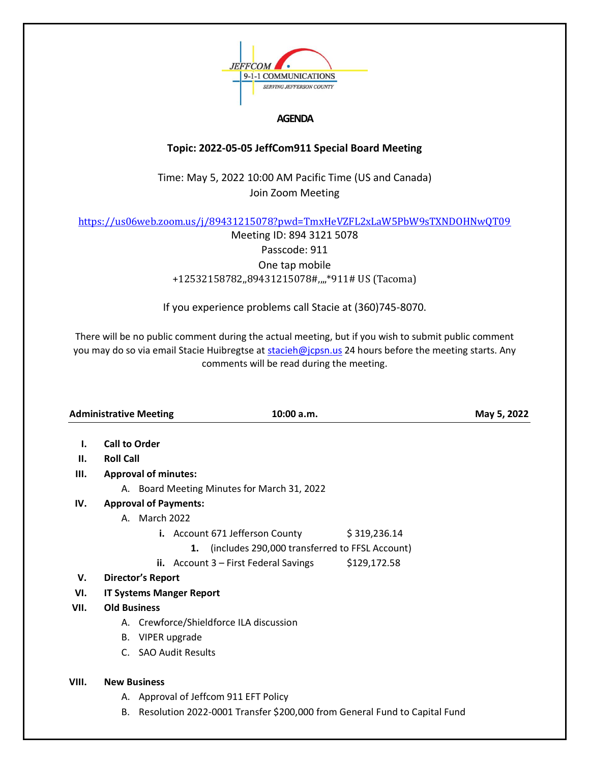

## **AGENDA**

## **Topic: 2022-05-05 JeffCom911 Special Board Meeting**

Time: May 5, 2022 10:00 AM Pacific Time (US and Canada) Join Zoom Meeting

<https://us06web.zoom.us/j/89431215078?pwd=TmxHeVZFL2xLaW5PbW9sTXNDOHNwQT09>

Meeting ID: 894 3121 5078 Passcode: 911 One tap mobile +12532158782,,89431215078#,,,,\*911# US (Tacoma)

If you experience problems call Stacie at (360)745-8070.

There will be no public comment during the actual meeting, but if you wish to submit public comment you may do so via email Stacie Huibregtse a[t stacieh@jcpsn.us](mailto:stacieh@jcpsn.us) 24 hours before the meeting starts. Any comments will be read during the meeting.

|       | <b>Administrative Meeting</b>                        |                                                                           | 10:00 a.m.                              |              | May 5, 2022 |  |
|-------|------------------------------------------------------|---------------------------------------------------------------------------|-----------------------------------------|--------------|-------------|--|
| Ъ.    | <b>Call to Order</b>                                 |                                                                           |                                         |              |             |  |
| Н.    | <b>Roll Call</b>                                     |                                                                           |                                         |              |             |  |
| Ш.    | <b>Approval of minutes:</b>                          |                                                                           |                                         |              |             |  |
|       | A. Board Meeting Minutes for March 31, 2022          |                                                                           |                                         |              |             |  |
| IV.   | <b>Approval of Payments:</b>                         |                                                                           |                                         |              |             |  |
|       | A. March 2022                                        |                                                                           |                                         |              |             |  |
|       |                                                      |                                                                           | i. Account 671 Jefferson County         | \$319,236.14 |             |  |
|       | (includes 290,000 transferred to FFSL Account)<br>1. |                                                                           |                                         |              |             |  |
|       |                                                      |                                                                           | ii. Account $3$ – First Federal Savings | \$129,172.58 |             |  |
| V.    | <b>Director's Report</b>                             |                                                                           |                                         |              |             |  |
| VI.   |                                                      | <b>IT Systems Manger Report</b>                                           |                                         |              |             |  |
| VII.  | <b>Old Business</b>                                  |                                                                           |                                         |              |             |  |
|       | A. Crewforce/Shieldforce ILA discussion              |                                                                           |                                         |              |             |  |
|       |                                                      | B. VIPER upgrade                                                          |                                         |              |             |  |
|       |                                                      | C. SAO Audit Results                                                      |                                         |              |             |  |
| VIII. | <b>New Business</b>                                  |                                                                           |                                         |              |             |  |
|       |                                                      | A. Approval of Jeffcom 911 EFT Policy                                     |                                         |              |             |  |
|       | В.                                                   | Resolution 2022-0001 Transfer \$200,000 from General Fund to Capital Fund |                                         |              |             |  |
|       |                                                      |                                                                           |                                         |              |             |  |